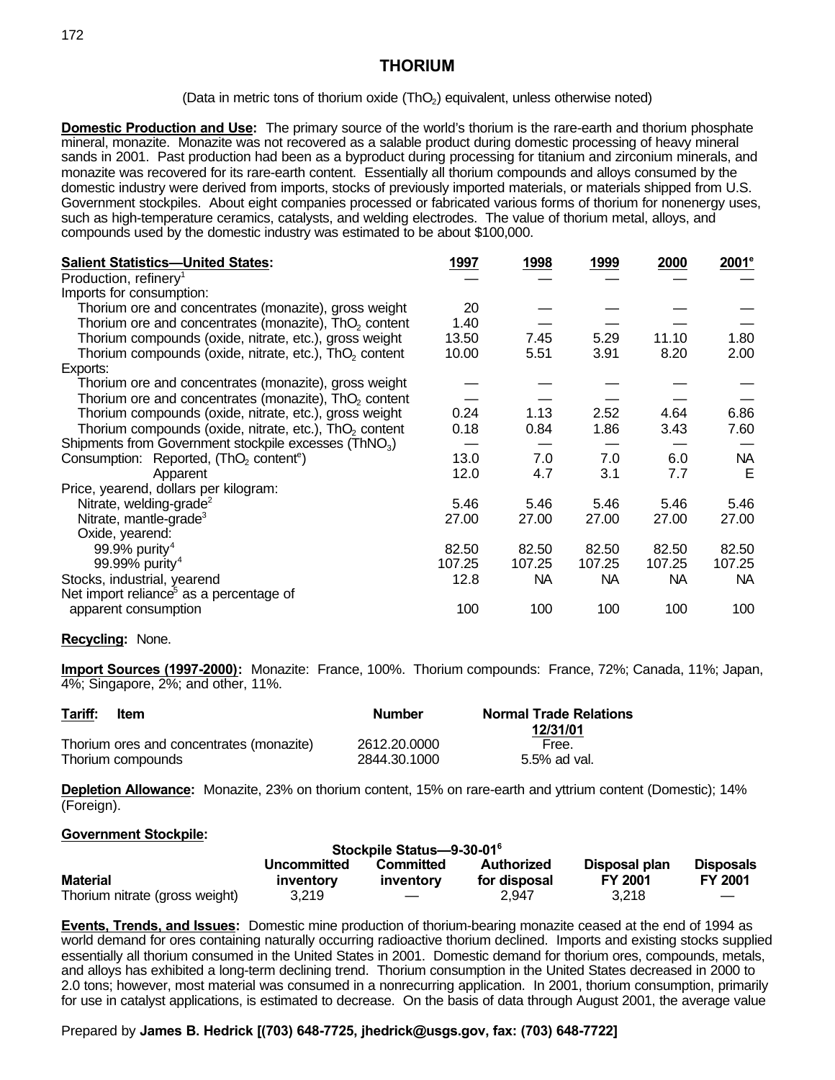(Data in metric tons of thorium oxide  $(ThO<sub>2</sub>)$  equivalent, unless otherwise noted)

**Domestic Production and Use:** The primary source of the world's thorium is the rare-earth and thorium phosphate mineral, monazite. Monazite was not recovered as a salable product during domestic processing of heavy mineral sands in 2001. Past production had been as a byproduct during processing for titanium and zirconium minerals, and monazite was recovered for its rare-earth content. Essentially all thorium compounds and alloys consumed by the domestic industry were derived from imports, stocks of previously imported materials, or materials shipped from U.S. Government stockpiles. About eight companies processed or fabricated various forms of thorium for nonenergy uses, such as high-temperature ceramics, catalysts, and welding electrodes. The value of thorium metal, alloys, and compounds used by the domestic industry was estimated to be about \$100,000.

| <b>Salient Statistics-United States:</b>                           | 1997   | 1998   | 1999      | 2000   | $2001^\circ$ |
|--------------------------------------------------------------------|--------|--------|-----------|--------|--------------|
| Production, refinery <sup>1</sup>                                  |        |        |           |        |              |
| Imports for consumption:                                           |        |        |           |        |              |
| Thorium ore and concentrates (monazite), gross weight              | 20     |        |           |        |              |
| Thorium ore and concentrates (monazite), ThO <sub>2</sub> content  | 1.40   |        |           |        |              |
| Thorium compounds (oxide, nitrate, etc.), gross weight             | 13.50  | 7.45   | 5.29      | 11.10  | 1.80         |
| Thorium compounds (oxide, nitrate, etc.), ThO <sub>2</sub> content | 10.00  | 5.51   | 3.91      | 8.20   | 2.00         |
| Exports:                                                           |        |        |           |        |              |
| Thorium ore and concentrates (monazite), gross weight              |        |        |           |        |              |
| Thorium ore and concentrates (monazite), ThO <sub>2</sub> content  |        |        |           |        |              |
| Thorium compounds (oxide, nitrate, etc.), gross weight             | 0.24   | 1.13   | 2.52      | 4.64   | 6.86         |
| Thorium compounds (oxide, nitrate, etc.), ThO <sub>2</sub> content | 0.18   | 0.84   | 1.86      | 3.43   | 7.60         |
| Shipments from Government stockpile excesses (ThNO <sub>3</sub> )  |        |        |           |        |              |
| Consumption: Reported, (ThO <sub>2</sub> content <sup>e</sup> )    | 13.0   | 7.0    | 7.0       | 6.0    | <b>NA</b>    |
| Apparent                                                           | 12.0   | 4.7    | 3.1       | 7.7    | Е            |
| Price, yearend, dollars per kilogram:                              |        |        |           |        |              |
| Nitrate, welding-grade <sup>2</sup>                                | 5.46   | 5.46   | 5.46      | 5.46   | 5.46         |
| Nitrate, mantle-grade <sup>3</sup>                                 | 27.00  | 27.00  | 27.00     | 27.00  | 27.00        |
| Oxide, yearend:                                                    |        |        |           |        |              |
| 99.9% purity <sup>4</sup>                                          | 82.50  | 82.50  | 82.50     | 82.50  | 82.50        |
| 99.99% purity <sup>4</sup>                                         | 107.25 | 107.25 | 107.25    | 107.25 | 107.25       |
| Stocks, industrial, yearend                                        | 12.8   | NA.    | <b>NA</b> | NA     | NA.          |
| Net import reliance <sup>5</sup> as a percentage of                |        |        |           |        |              |
| apparent consumption                                               | 100    | 100    | 100       | 100    | 100          |

### **Recycling:** None.

**Import Sources (1997-2000):** Monazite: France, 100%. Thorium compounds: France, 72%; Canada, 11%; Japan, 4%; Singapore, 2%; and other, 11%.

| Tariff: | ltem                                     | <b>Number</b> | <b>Normal Trade Relations</b> |  |  |
|---------|------------------------------------------|---------------|-------------------------------|--|--|
|         | Thorium ores and concentrates (monazite) | 2612.20.0000  | 12/31/01<br>Free.             |  |  |
|         | Thorium compounds                        | 2844.30.1000  | 5.5% ad val.                  |  |  |

**Depletion Allowance:** Monazite, 23% on thorium content, 15% on rare-earth and yttrium content (Domestic); 14% (Foreign).

#### **Government Stockpile:**

| Stockpile Status-9-30-01 <sup>6</sup>                                       |           |           |              |                |                |  |
|-----------------------------------------------------------------------------|-----------|-----------|--------------|----------------|----------------|--|
| Disposal plan<br><b>Disposals</b><br>Authorized<br>Uncommitted<br>Committed |           |           |              |                |                |  |
| <b>Material</b>                                                             | inventory | inventory | for disposal | <b>FY 2001</b> | <b>FY 2001</b> |  |
| Thorium nitrate (gross weight)                                              | 3.219     |           | 2.947        | 3,218          |                |  |

**Events, Trends, and Issues:** Domestic mine production of thorium-bearing monazite ceased at the end of 1994 as world demand for ores containing naturally occurring radioactive thorium declined. Imports and existing stocks supplied essentially all thorium consumed in the United States in 2001. Domestic demand for thorium ores, compounds, metals, and alloys has exhibited a long-term declining trend. Thorium consumption in the United States decreased in 2000 to 2.0 tons; however, most material was consumed in a nonrecurring application. In 2001, thorium consumption, primarily for use in catalyst applications, is estimated to decrease. On the basis of data through August 2001, the average value

Prepared by **James B. Hedrick [(703) 648-7725, jhedrick@usgs.gov, fax: (703) 648-7722]**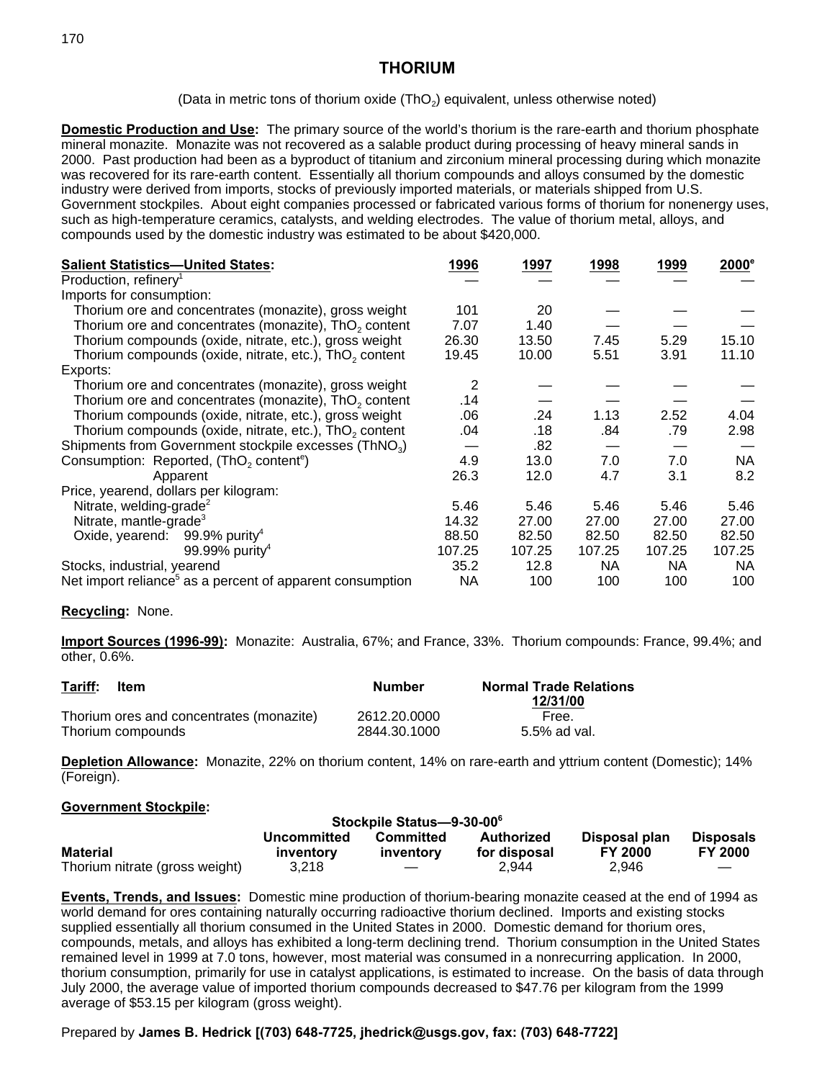(Data in metric tons of thorium oxide (ThO<sub>2</sub>) equivalent, unless otherwise noted)

**Domestic Production and Use:** The primary source of the world's thorium is the rare-earth and thorium phosphate mineral monazite. Monazite was not recovered as a salable product during processing of heavy mineral sands in 2000. Past production had been as a byproduct of titanium and zirconium mineral processing during which monazite was recovered for its rare-earth content. Essentially all thorium compounds and alloys consumed by the domestic industry were derived from imports, stocks of previously imported materials, or materials shipped from U.S. Government stockpiles. About eight companies processed or fabricated various forms of thorium for nonenergy uses, such as high-temperature ceramics, catalysts, and welding electrodes. The value of thorium metal, alloys, and compounds used by the domestic industry was estimated to be about \$420,000.

| <b>Salient Statistics-United States:</b>                              | 1996   | 1997   | 1998      | 1999   | $2000^\circ$ |
|-----------------------------------------------------------------------|--------|--------|-----------|--------|--------------|
| Production, refinery <sup>1</sup>                                     |        |        |           |        |              |
| Imports for consumption:                                              |        |        |           |        |              |
| Thorium ore and concentrates (monazite), gross weight                 | 101    | 20     |           |        |              |
| Thorium ore and concentrates (monazite), ThO <sub>2</sub> content     | 7.07   | 1.40   |           |        |              |
| Thorium compounds (oxide, nitrate, etc.), gross weight                | 26.30  | 13.50  | 7.45      | 5.29   | 15.10        |
| Thorium compounds (oxide, nitrate, etc.), ThO <sub>2</sub> content    | 19.45  | 10.00  | 5.51      | 3.91   | 11.10        |
| Exports:                                                              |        |        |           |        |              |
| Thorium ore and concentrates (monazite), gross weight                 | 2      |        |           |        |              |
| Thorium ore and concentrates (monazite), ThO <sub>2</sub> content     | .14    |        |           |        |              |
| Thorium compounds (oxide, nitrate, etc.), gross weight                | .06    | .24    | 1.13      | 2.52   | 4.04         |
| Thorium compounds (oxide, nitrate, etc.), $ThO2$ content              | .04    | .18    | .84       | .79    | 2.98         |
| Shipments from Government stockpile excesses (ThNO <sub>3</sub> )     |        | .82    |           |        |              |
| Consumption: Reported, (ThO <sub>2</sub> content <sup>e</sup> )       | 4.9    | 13.0   | 7.0       | 7.0    | <b>NA</b>    |
| Apparent                                                              | 26.3   | 12.0   | 4.7       | 3.1    | 8.2          |
| Price, yearend, dollars per kilogram:                                 |        |        |           |        |              |
| Nitrate, welding-grade <sup>2</sup>                                   | 5.46   | 5.46   | 5.46      | 5.46   | 5.46         |
| Nitrate, mantle-grade <sup>3</sup>                                    | 14.32  | 27.00  | 27.00     | 27.00  | 27.00        |
| Oxide, yearend: $99.9\%$ purity <sup>4</sup>                          | 88.50  | 82.50  | 82.50     | 82.50  | 82.50        |
| 99.99% purity <sup>4</sup>                                            | 107.25 | 107.25 | 107.25    | 107.25 | 107.25       |
| Stocks, industrial, yearend                                           | 35.2   | 12.8   | <b>NA</b> | NA.    | <b>NA</b>    |
| Net import reliance <sup>5</sup> as a percent of apparent consumption | NA     | 100    | 100       | 100    | 100          |

## **Recycling:** None.

**Import Sources (1996-99):** Monazite: Australia, 67%; and France, 33%. Thorium compounds: France, 99.4%; and other, 0.6%.

| Tariff: | <b>Item</b>                              | Number       | <b>Normal Trade Relations</b><br>12/31/00 |
|---------|------------------------------------------|--------------|-------------------------------------------|
|         | Thorium ores and concentrates (monazite) | 2612.20.0000 | Free.                                     |
|         | Thorium compounds                        | 2844.30.1000 | 5.5% ad val.                              |

**Depletion Allowance:** Monazite, 22% on thorium content, 14% on rare-earth and yttrium content (Domestic); 14% (Foreign).

### **Government Stockpile:**

| Stockpile Status-9-30-00 <sup>6</sup> |                          |                        |                            |                                 |                                    |
|---------------------------------------|--------------------------|------------------------|----------------------------|---------------------------------|------------------------------------|
| <b>Material</b>                       | Uncommitted<br>inventory | Committed<br>inventory | Authorized<br>for disposal | Disposal plan<br><b>FY 2000</b> | <b>Disposals</b><br><b>FY 2000</b> |
| Thorium nitrate (gross weight)        | 3.218                    |                        | 2.944                      | 2.946                           |                                    |

**Events, Trends, and Issues:** Domestic mine production of thorium-bearing monazite ceased at the end of 1994 as world demand for ores containing naturally occurring radioactive thorium declined. Imports and existing stocks supplied essentially all thorium consumed in the United States in 2000. Domestic demand for thorium ores, compounds, metals, and alloys has exhibited a long-term declining trend. Thorium consumption in the United States remained level in 1999 at 7.0 tons, however, most material was consumed in a nonrecurring application. In 2000, thorium consumption, primarily for use in catalyst applications, is estimated to increase. On the basis of data through July 2000, the average value of imported thorium compounds decreased to \$47.76 per kilogram from the 1999 average of \$53.15 per kilogram (gross weight).

## Prepared by **James B. Hedrick [(703) 648-7725, jhedrick@usgs.gov, fax: (703) 648-7722]**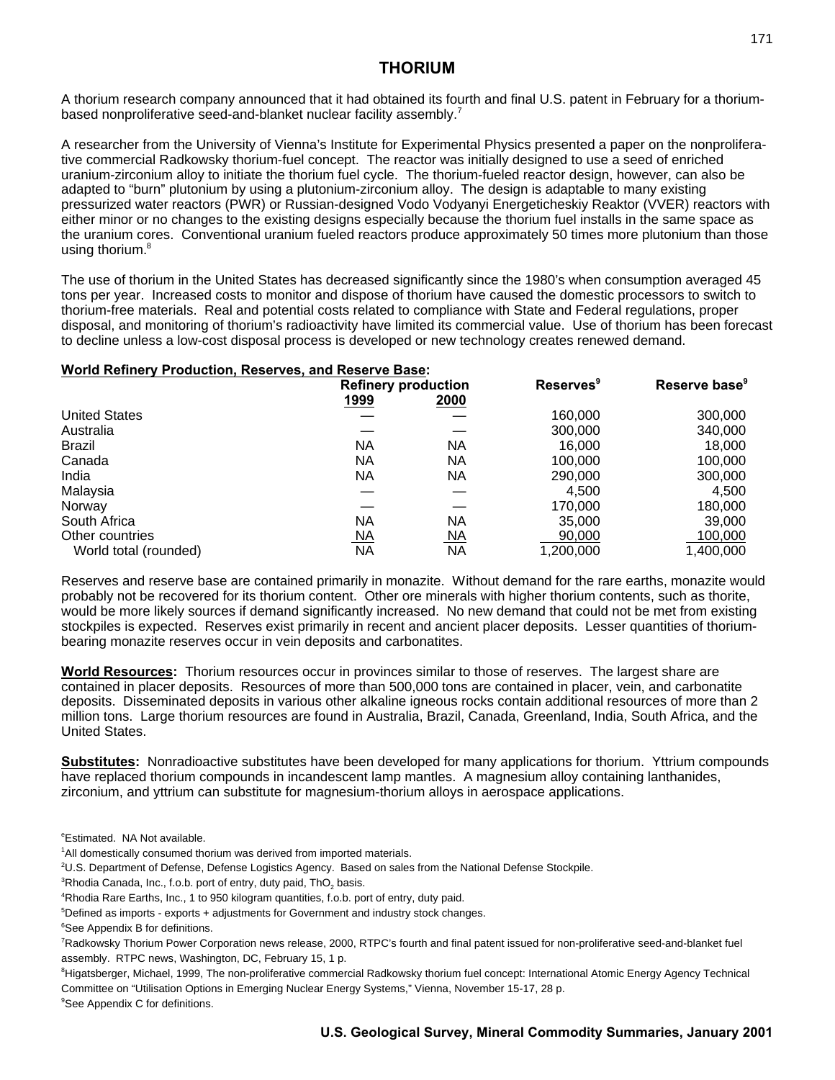A thorium research company announced that it had obtained its fourth and final U.S. patent in February for a thoriumbased nonproliferative seed-and-blanket nuclear facility assembly.<sup>7</sup>

A researcher from the University of Vienna's Institute for Experimental Physics presented a paper on the nonproliferative commercial Radkowsky thorium-fuel concept. The reactor was initially designed to use a seed of enriched uranium-zirconium alloy to initiate the thorium fuel cycle. The thorium-fueled reactor design, however, can also be adapted to "burn" plutonium by using a plutonium-zirconium alloy. The design is adaptable to many existing pressurized water reactors (PWR) or Russian-designed Vodo Vodyanyi Energeticheskiy Reaktor (VVER) reactors with either minor or no changes to the existing designs especially because the thorium fuel installs in the same space as the uranium cores. Conventional uranium fueled reactors produce approximately 50 times more plutonium than those using thorium.<sup>8</sup>

The use of thorium in the United States has decreased significantly since the 1980's when consumption averaged 45 tons per year. Increased costs to monitor and dispose of thorium have caused the domestic processors to switch to thorium-free materials. Real and potential costs related to compliance with State and Federal regulations, proper disposal, and monitoring of thorium's radioactivity have limited its commercial value. Use of thorium has been forecast to decline unless a low-cost disposal process is developed or new technology creates renewed demand.

### **World Refinery Production, Reserves, and Reserve Base:**

|                       | <b>Refinery production</b> |           | <b>Reserves</b> <sup>9</sup> | Reserve base <sup>9</sup> |  |
|-----------------------|----------------------------|-----------|------------------------------|---------------------------|--|
|                       | 1999                       | 2000      |                              |                           |  |
| <b>United States</b>  |                            |           | 160,000                      | 300,000                   |  |
| Australia             |                            |           | 300,000                      | 340,000                   |  |
| <b>Brazil</b>         | <b>NA</b>                  | ΝA        | 16.000                       | 18,000                    |  |
| Canada                | ΝA                         | ΝA        | 100,000                      | 100,000                   |  |
| India                 | ΝA                         | ΝA        | 290,000                      | 300,000                   |  |
| Malaysia              |                            |           | 4,500                        | 4,500                     |  |
| Norway                |                            |           | 170,000                      | 180,000                   |  |
| South Africa          | ΝA                         | <b>NA</b> | 35,000                       | 39,000                    |  |
| Other countries       | <u>NA</u>                  | <u>NA</u> | 90,000                       | 100,000                   |  |
| World total (rounded) | ΝA                         | <b>NA</b> | 1,200,000                    | 1.400.000                 |  |

Reserves and reserve base are contained primarily in monazite. Without demand for the rare earths, monazite would probably not be recovered for its thorium content. Other ore minerals with higher thorium contents, such as thorite, would be more likely sources if demand significantly increased. No new demand that could not be met from existing stockpiles is expected. Reserves exist primarily in recent and ancient placer deposits. Lesser quantities of thoriumbearing monazite reserves occur in vein deposits and carbonatites.

**World Resources:** Thorium resources occur in provinces similar to those of reserves. The largest share are contained in placer deposits. Resources of more than 500,000 tons are contained in placer, vein, and carbonatite deposits. Disseminated deposits in various other alkaline igneous rocks contain additional resources of more than 2 million tons. Large thorium resources are found in Australia, Brazil, Canada, Greenland, India, South Africa, and the United States.

**Substitutes:** Nonradioactive substitutes have been developed for many applications for thorium. Yttrium compounds have replaced thorium compounds in incandescent lamp mantles. A magnesium alloy containing lanthanides, zirconium, and yttrium can substitute for magnesium-thorium alloys in aerospace applications.

<sup>e</sup>Estimated. NA Not available.

- <sup>1</sup>All domestically consumed thorium was derived from imported materials.
- <sup>2</sup>U.S. Department of Defense, Defense Logistics Agency. Based on sales from the National Defense Stockpile.

 ${}^{3}$ Rhodia Canada, Inc., f.o.b. port of entry, duty paid, ThO $_{2}$  basis.

<sup>4</sup>Rhodia Rare Earths, Inc., 1 to 950 kilogram quantities, f.o.b. port of entry, duty paid.

<sup>7</sup>Radkowsky Thorium Power Corporation news release, 2000, RTPC's fourth and final patent issued for non-proliferative seed-and-blanket fuel assembly. RTPC news, Washington, DC, February 15, 1 p.

<sup>8</sup>Higatsberger, Michael, 1999, The non-proliferative commercial Radkowsky thorium fuel concept: International Atomic Energy Agency Technical Committee on "Utilisation Options in Emerging Nuclear Energy Systems," Vienna, November 15-17, 28 p.

<sup>5</sup>Defined as imports - exports + adjustments for Government and industry stock changes.

<sup>&</sup>lt;sup>6</sup>See Appendix B for definitions.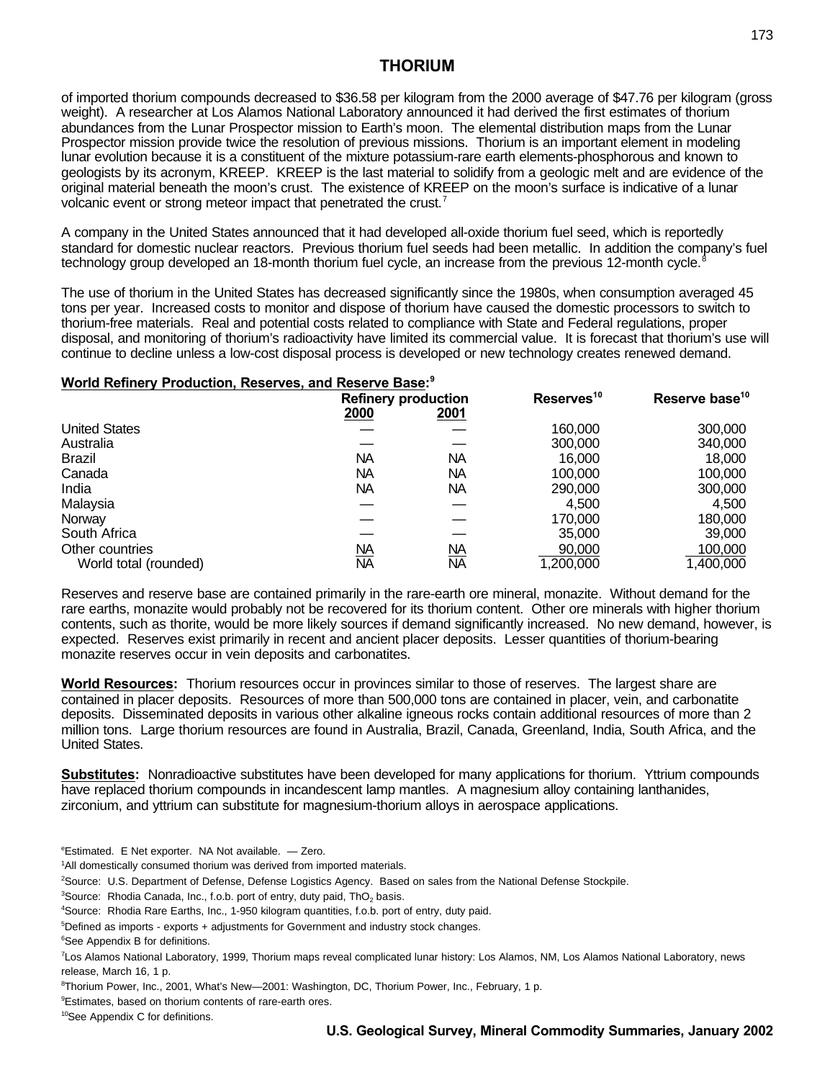of imported thorium compounds decreased to \$36.58 per kilogram from the 2000 average of \$47.76 per kilogram (gross weight). A researcher at Los Alamos National Laboratory announced it had derived the first estimates of thorium abundances from the Lunar Prospector mission to Earth's moon. The elemental distribution maps from the Lunar Prospector mission provide twice the resolution of previous missions. Thorium is an important element in modeling lunar evolution because it is a constituent of the mixture potassium-rare earth elements-phosphorous and known to geologists by its acronym, KREEP. KREEP is the last material to solidify from a geologic melt and are evidence of the original material beneath the moon's crust. The existence of KREEP on the moon's surface is indicative of a lunar volcanic event or strong meteor impact that penetrated the crust.<sup>7</sup>

A company in the United States announced that it had developed all-oxide thorium fuel seed, which is reportedly standard for domestic nuclear reactors. Previous thorium fuel seeds had been metallic. In addition the company's fuel technology group developed an 18-month thorium fuel cycle, an increase from the previous 12-month cycle.<sup>8</sup>

The use of thorium in the United States has decreased significantly since the 1980s, when consumption averaged 45 tons per year. Increased costs to monitor and dispose of thorium have caused the domestic processors to switch to thorium-free materials. Real and potential costs related to compliance with State and Federal regulations, proper disposal, and monitoring of thorium's radioactivity have limited its commercial value. It is forecast that thorium's use will continue to decline unless a low-cost disposal process is developed or new technology creates renewed demand.

## **World Refinery Production, Reserves, and Reserve Base: 9**

|                       | <b>Refinery production</b> |              | Reserves <sup>10</sup> | Reserve base <sup>10</sup> |
|-----------------------|----------------------------|--------------|------------------------|----------------------------|
|                       | 2000                       | <u> 2001</u> |                        |                            |
| <b>United States</b>  |                            |              | 160,000                | 300,000                    |
| Australia             |                            |              | 300,000                | 340,000                    |
| <b>Brazil</b>         | NA                         | NΑ           | 16,000                 | 18,000                     |
| Canada                | NA                         | NΑ           | 100,000                | 100,000                    |
| India                 | NA                         | <b>NA</b>    | 290,000                | 300,000                    |
| Malaysia              |                            |              | 4,500                  | 4,500                      |
| Norway                |                            |              | 170.000                | 180,000                    |
| South Africa          |                            |              | 35,000                 | 39,000                     |
| Other countries       | <u>NA</u>                  | <u>NA</u>    | 90,000                 | 100,000                    |
| World total (rounded) | <b>NA</b>                  | <b>NA</b>    | 1,200,000              | 1,400,000                  |

Reserves and reserve base are contained primarily in the rare-earth ore mineral, monazite. Without demand for the rare earths, monazite would probably not be recovered for its thorium content. Other ore minerals with higher thorium contents, such as thorite, would be more likely sources if demand significantly increased. No new demand, however, is expected. Reserves exist primarily in recent and ancient placer deposits. Lesser quantities of thorium-bearing monazite reserves occur in vein deposits and carbonatites.

**World Resources:** Thorium resources occur in provinces similar to those of reserves. The largest share are contained in placer deposits. Resources of more than 500,000 tons are contained in placer, vein, and carbonatite deposits. Disseminated deposits in various other alkaline igneous rocks contain additional resources of more than 2 million tons. Large thorium resources are found in Australia, Brazil, Canada, Greenland, India, South Africa, and the United States.

**Substitutes:** Nonradioactive substitutes have been developed for many applications for thorium. Yttrium compounds have replaced thorium compounds in incandescent lamp mantles. A magnesium alloy containing lanthanides, zirconium, and yttrium can substitute for magnesium-thorium alloys in aerospace applications.

<sup>e</sup>Estimated. E Net exporter. NA Not available. — Zero.

<sup>1</sup>All domestically consumed thorium was derived from imported materials.

<sup>2</sup>Source: U.S. Department of Defense, Defense Logistics Agency. Based on sales from the National Defense Stockpile.

 ${}^{3}$ Source: Rhodia Canada, Inc., f.o.b. port of entry, duty paid, ThO<sub>2</sub> basis.

<sup>4</sup>Source: Rhodia Rare Earths, Inc., 1-950 kilogram quantities, f.o.b. port of entry, duty paid.

<sup>5</sup>Defined as imports - exports + adjustments for Government and industry stock changes.

<sup>6</sup>See Appendix B for definitions.

<sup>7</sup>Los Alamos National Laboratory, 1999, Thorium maps reveal complicated lunar history: Los Alamos, NM, Los Alamos National Laboratory, news release, March 16, 1 p.

<sup>8</sup>Thorium Power, Inc., 2001, What's New—2001: Washington, DC, Thorium Power, Inc., February, 1 p.

<sup>9</sup>Estimates, based on thorium contents of rare-earth ores.

<sup>10</sup>See Appendix C for definitions.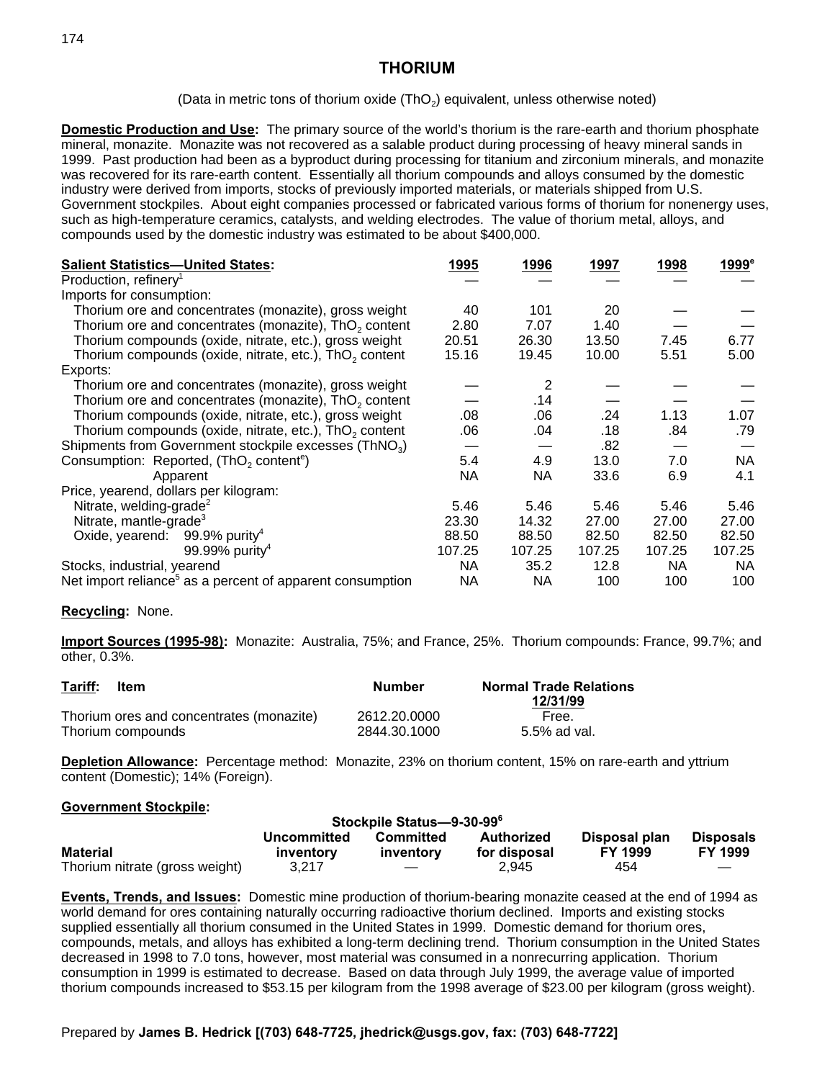(Data in metric tons of thorium oxide  $(ThO<sub>2</sub>)$  equivalent, unless otherwise noted)

**Domestic Production and Use:** The primary source of the world's thorium is the rare-earth and thorium phosphate mineral, monazite. Monazite was not recovered as a salable product during processing of heavy mineral sands in 1999. Past production had been as a byproduct during processing for titanium and zirconium minerals, and monazite was recovered for its rare-earth content. Essentially all thorium compounds and alloys consumed by the domestic industry were derived from imports, stocks of previously imported materials, or materials shipped from U.S. Government stockpiles. About eight companies processed or fabricated various forms of thorium for nonenergy uses, such as high-temperature ceramics, catalysts, and welding electrodes. The value of thorium metal, alloys, and compounds used by the domestic industry was estimated to be about \$400,000.

| <b>Salient Statistics-United States:</b>                              | 1995   | 1996   | 1997   | 1998   | 1999°     |
|-----------------------------------------------------------------------|--------|--------|--------|--------|-----------|
| Production, refinery <sup>1</sup>                                     |        |        |        |        |           |
| Imports for consumption:                                              |        |        |        |        |           |
| Thorium ore and concentrates (monazite), gross weight                 | 40     | 101    | 20     |        |           |
| Thorium ore and concentrates (monazite), ThO <sub>2</sub> content     | 2.80   | 7.07   | 1.40   |        |           |
| Thorium compounds (oxide, nitrate, etc.), gross weight                | 20.51  | 26.30  | 13.50  | 7.45   | 6.77      |
| Thorium compounds (oxide, nitrate, etc.), ThO <sub>2</sub> content    | 15.16  | 19.45  | 10.00  | 5.51   | 5.00      |
| Exports:                                                              |        |        |        |        |           |
| Thorium ore and concentrates (monazite), gross weight                 |        | 2      |        |        |           |
| Thorium ore and concentrates (monazite), ThO <sub>2</sub> content     |        | .14    |        |        |           |
| Thorium compounds (oxide, nitrate, etc.), gross weight                | .08    | .06    | .24    | 1.13   | 1.07      |
| Thorium compounds (oxide, nitrate, etc.), $ThO2$ content              | .06    | .04    | .18    | .84    | .79       |
| Shipments from Government stockpile excesses (ThNO <sub>3</sub> )     |        |        | .82    |        |           |
| Consumption: Reported, (ThO <sub>2</sub> content <sup>e</sup> )       | 5.4    | 4.9    | 13.0   | 7.0    | NA        |
| Apparent                                                              | NA     | NА     | 33.6   | 6.9    | 4.1       |
| Price, yearend, dollars per kilogram:                                 |        |        |        |        |           |
| Nitrate, welding-grade <sup>2</sup>                                   | 5.46   | 5.46   | 5.46   | 5.46   | 5.46      |
| Nitrate, mantle-grade <sup>3</sup>                                    | 23.30  | 14.32  | 27.00  | 27.00  | 27.00     |
| Oxide, yearend: 99.9% purity <sup>4</sup>                             | 88.50  | 88.50  | 82.50  | 82.50  | 82.50     |
| 99.99% purity <sup>4</sup>                                            | 107.25 | 107.25 | 107.25 | 107.25 | 107.25    |
| Stocks, industrial, yearend                                           | NA     | 35.2   | 12.8   | NA     | <b>NA</b> |
| Net import reliance <sup>5</sup> as a percent of apparent consumption | NA     | NА     | 100    | 100    | 100       |

### **Recycling:** None.

**Import Sources (1995-98):** Monazite: Australia, 75%; and France, 25%. Thorium compounds: France, 99.7%; and other, 0.3%.

| Tariff: | <b>Item</b>                              | Number       | <b>Normal Trade Relations</b><br>12/31/99 |
|---------|------------------------------------------|--------------|-------------------------------------------|
|         | Thorium ores and concentrates (monazite) | 2612.20.0000 | Free.                                     |
|         | Thorium compounds                        | 2844.30.1000 | 5.5% ad val.                              |

**Depletion Allowance:** Percentage method: Monazite, 23% on thorium content, 15% on rare-earth and yttrium content (Domestic); 14% (Foreign).

### **Government Stockpile:**

| Stockpile Status-9-30-99°      |                          |                        |                                   |                                 |                                    |
|--------------------------------|--------------------------|------------------------|-----------------------------------|---------------------------------|------------------------------------|
| <b>Material</b>                | Uncommitted<br>inventory | Committed<br>inventory | <b>Authorized</b><br>for disposal | Disposal plan<br><b>FY 1999</b> | <b>Disposals</b><br><b>FY 1999</b> |
| Thorium nitrate (gross weight) | 3.217                    |                        | 2.945                             | 454                             |                                    |

**Events, Trends, and Issues:** Domestic mine production of thorium-bearing monazite ceased at the end of 1994 as world demand for ores containing naturally occurring radioactive thorium declined. Imports and existing stocks supplied essentially all thorium consumed in the United States in 1999. Domestic demand for thorium ores, compounds, metals, and alloys has exhibited a long-term declining trend. Thorium consumption in the United States decreased in 1998 to 7.0 tons, however, most material was consumed in a nonrecurring application. Thorium consumption in 1999 is estimated to decrease. Based on data through July 1999, the average value of imported thorium compounds increased to \$53.15 per kilogram from the 1998 average of \$23.00 per kilogram (gross weight).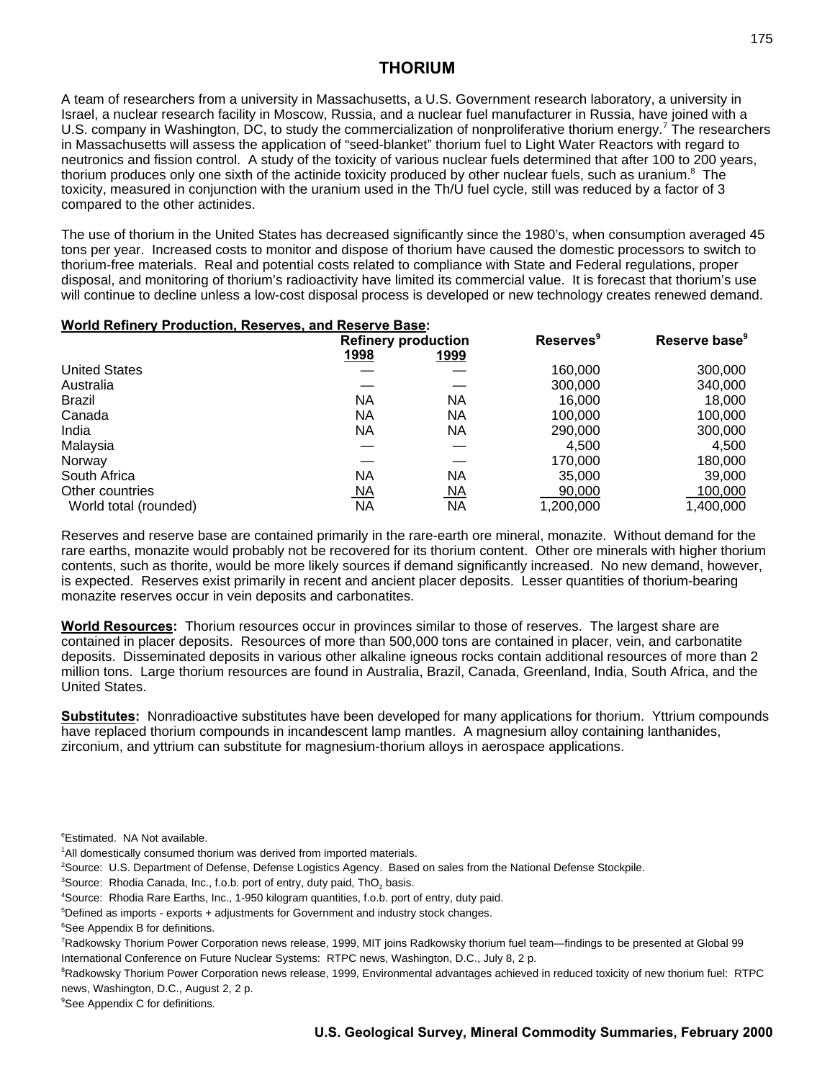A team of researchers from a university in Massachusetts, a U.S. Government research laboratory, a university in Israel, a nuclear research facility in Moscow, Russia, and a nuclear fuel manufacturer in Russia, have joined with a U.S. company in Washington, DC, to study the commercialization of nonproliferative thorium energy.<sup>7</sup> The researchers in Massachusetts will assess the application of "seed-blanket" thorium fuel to Light Water Reactors with regard to neutronics and fission control. A study of the toxicity of various nuclear fuels determined that after 100 to 200 years, thorium produces only one sixth of the actinide toxicity produced by other nuclear fuels, such as uranium.<sup>8</sup> The toxicity, measured in conjunction with the uranium used in the Th/U fuel cycle, still was reduced by a factor of 3 compared to the other actinides.

The use of thorium in the United States has decreased significantly since the 1980's, when consumption averaged 45 tons per year. Increased costs to monitor and dispose of thorium have caused the domestic processors to switch to thorium-free materials. Real and potential costs related to compliance with State and Federal regulations, proper disposal, and monitoring of thorium's radioactivity have limited its commercial value. It is forecast that thorium's use will continue to decline unless a low-cost disposal process is developed or new technology creates renewed demand.

### **World Refinery Production, Reserves, and Reserve Base:**

|                       | <b>Refinery production</b> |             | <b>Reserves</b> <sup>9</sup> | Reserve base <sup>9</sup> |
|-----------------------|----------------------------|-------------|------------------------------|---------------------------|
|                       | 1998                       | <u>1999</u> |                              |                           |
| <b>United States</b>  |                            |             | 160,000                      | 300,000                   |
| Australia             |                            |             | 300,000                      | 340,000                   |
| Brazil                | <b>NA</b>                  | <b>NA</b>   | 16,000                       | 18,000                    |
| Canada                | <b>NA</b>                  | ΝA          | 100.000                      | 100,000                   |
| India                 | <b>NA</b>                  | ΝA          | 290,000                      | 300,000                   |
| Malaysia              |                            |             | 4,500                        | 4,500                     |
| Norway                |                            |             | 170,000                      | 180,000                   |
| South Africa          | <b>NA</b>                  | <b>NA</b>   | 35,000                       | 39,000                    |
| Other countries       | <u>NA</u>                  | <u>NA</u>   | 90,000                       | 100,000                   |
| World total (rounded) | ΝA                         | <b>NA</b>   | 1,200,000                    | 1.400.000                 |

Reserves and reserve base are contained primarily in the rare-earth ore mineral, monazite. Without demand for the rare earths, monazite would probably not be recovered for its thorium content. Other ore minerals with higher thorium contents, such as thorite, would be more likely sources if demand significantly increased. No new demand, however, is expected. Reserves exist primarily in recent and ancient placer deposits. Lesser quantities of thorium-bearing monazite reserves occur in vein deposits and carbonatites.

**World Resources:** Thorium resources occur in provinces similar to those of reserves. The largest share are contained in placer deposits. Resources of more than 500,000 tons are contained in placer, vein, and carbonatite deposits. Disseminated deposits in various other alkaline igneous rocks contain additional resources of more than 2 million tons. Large thorium resources are found in Australia, Brazil, Canada, Greenland, India, South Africa, and the United States.

**Substitutes:** Nonradioactive substitutes have been developed for many applications for thorium. Yttrium compounds have replaced thorium compounds in incandescent lamp mantles. A magnesium alloy containing lanthanides, zirconium, and yttrium can substitute for magnesium-thorium alloys in aerospace applications.

<sup>e</sup>Estimated. NA Not available.

- <sup>1</sup>All domestically consumed thorium was derived from imported materials.
- <sup>2</sup>Source: U.S. Department of Defense, Defense Logistics Agency. Based on sales from the National Defense Stockpile.
- ${}^{3}$ Source: Rhodia Canada, Inc., f.o.b. port of entry, duty paid, ThO<sub>2</sub> basis.
- <sup>4</sup>Source: Rhodia Rare Earths, Inc., 1-950 kilogram quantities, f.o.b. port of entry, duty paid.
- $5$ Defined as imports exports + adjustments for Government and industry stock changes.

<sup>7</sup>Radkowsky Thorium Power Corporation news release, 1999, MIT joins Radkowsky thorium fuel team—findings to be presented at Global 99 International Conference on Future Nuclear Systems: RTPC news, Washington, D.C., July 8, 2 p.

<sup>8</sup>Radkowsky Thorium Power Corporation news release, 1999, Environmental advantages achieved in reduced toxicity of new thorium fuel: RTPC news, Washington, D.C., August 2, 2 p.

<sup>9</sup>See Appendix C for definitions.

<sup>&</sup>lt;sup>6</sup>See Appendix B for definitions.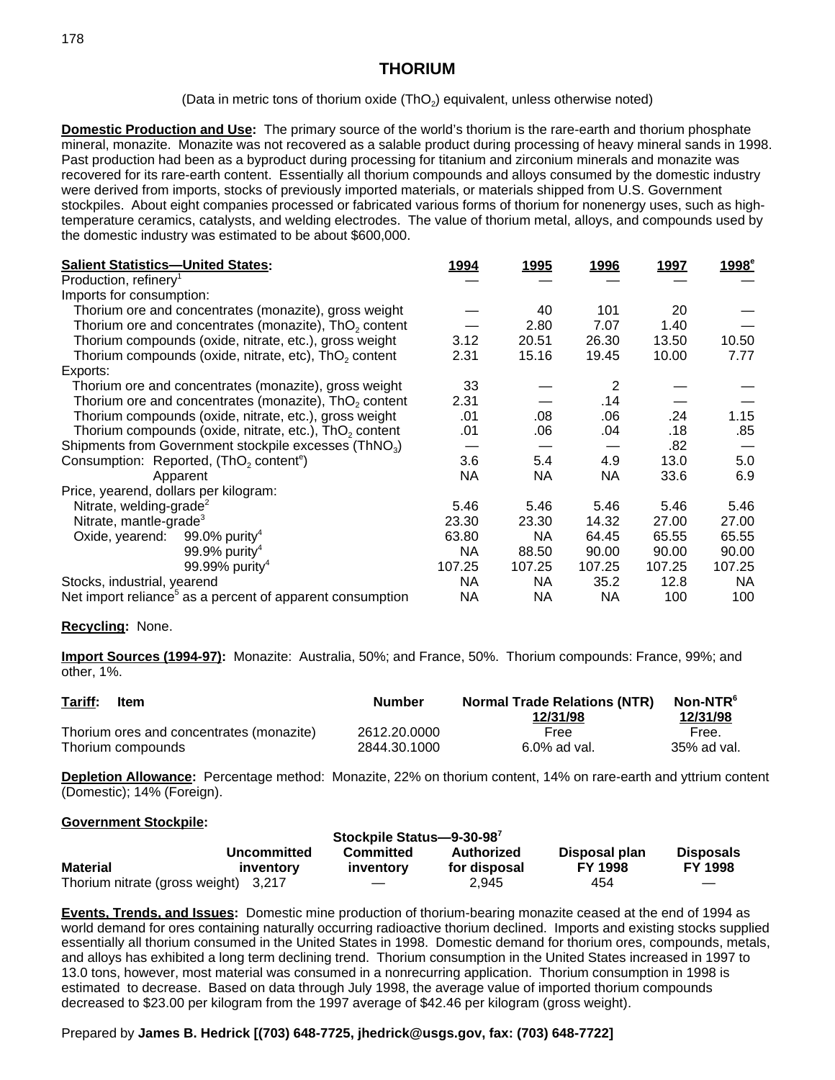(Data in metric tons of thorium oxide  $(ThO<sub>2</sub>)$  equivalent, unless otherwise noted)

**Domestic Production and Use:** The primary source of the world's thorium is the rare-earth and thorium phosphate mineral, monazite. Monazite was not recovered as a salable product during processing of heavy mineral sands in 1998. Past production had been as a byproduct during processing for titanium and zirconium minerals and monazite was recovered for its rare-earth content. Essentially all thorium compounds and alloys consumed by the domestic industry were derived from imports, stocks of previously imported materials, or materials shipped from U.S. Government stockpiles. About eight companies processed or fabricated various forms of thorium for nonenergy uses, such as hightemperature ceramics, catalysts, and welding electrodes. The value of thorium metal, alloys, and compounds used by the domestic industry was estimated to be about \$600,000.

| <b>Salient Statistics-United States:</b>                          |                                                                       | <u>1994</u> | <u>1995</u> | <u> 1996</u> | <u>1997</u> | 1998 <sup>e</sup> |
|-------------------------------------------------------------------|-----------------------------------------------------------------------|-------------|-------------|--------------|-------------|-------------------|
| Production, refinery <sup>1</sup>                                 |                                                                       |             |             |              |             |                   |
| Imports for consumption:                                          |                                                                       |             |             |              |             |                   |
|                                                                   | Thorium ore and concentrates (monazite), gross weight                 |             | 40          | 101          | 20          |                   |
|                                                                   | Thorium ore and concentrates (monazite), ThO <sub>2</sub> content     |             | 2.80        | 7.07         | 1.40        |                   |
|                                                                   | Thorium compounds (oxide, nitrate, etc.), gross weight                | 3.12        | 20.51       | 26.30        | 13.50       | 10.50             |
|                                                                   | Thorium compounds (oxide, nitrate, etc), $ThO2$ content               | 2.31        | 15.16       | 19.45        | 10.00       | 7.77              |
| Exports:                                                          |                                                                       |             |             |              |             |                   |
|                                                                   | Thorium ore and concentrates (monazite), gross weight                 | 33          |             | 2            |             |                   |
|                                                                   | Thorium ore and concentrates (monazite), ThO <sub>2</sub> content     | 2.31        |             | .14          |             |                   |
|                                                                   | Thorium compounds (oxide, nitrate, etc.), gross weight                | .01         | .08         | .06          | .24         | 1.15              |
|                                                                   | Thorium compounds (oxide, nitrate, etc.), $ThO2$ content              | .01         | .06         | .04          | .18         | .85               |
| Shipments from Government stockpile excesses (ThNO <sub>3</sub> ) |                                                                       |             |             |              | .82         |                   |
|                                                                   | Consumption: Reported, (ThO <sub>2</sub> content <sup>e</sup> )       | 3.6         | 5.4         | 4.9          | 13.0        | 5.0               |
|                                                                   | Apparent                                                              | <b>NA</b>   | NA.         | NA           | 33.6        | 6.9               |
| Price, yearend, dollars per kilogram:                             |                                                                       |             |             |              |             |                   |
| Nitrate, welding-grade <sup>2</sup>                               |                                                                       | 5.46        | 5.46        | 5.46         | 5.46        | 5.46              |
| Nitrate, mantle-grade <sup>3</sup>                                |                                                                       | 23.30       | 23.30       | 14.32        | 27.00       | 27.00             |
| Oxide, yearend: $99.0\%$ purity <sup>4</sup>                      |                                                                       | 63.80       | <b>NA</b>   | 64.45        | 65.55       | 65.55             |
|                                                                   | 99.9% purity <sup>4</sup>                                             | <b>NA</b>   | 88.50       | 90.00        | 90.00       | 90.00             |
|                                                                   | 99.99% purity <sup>4</sup>                                            | 107.25      | 107.25      | 107.25       | 107.25      | 107.25            |
| Stocks, industrial, yearend                                       |                                                                       | NA.         | NA.         | 35.2         | 12.8        | <b>NA</b>         |
|                                                                   | Net import reliance <sup>5</sup> as a percent of apparent consumption | NA          | NA          | NA           | 100         | 100               |

### **Recycling:** None.

**Import Sources (1994-97):** Monazite: Australia, 50%; and France, 50%. Thorium compounds: France, 99%; and other, 1%.

| Tariff:                                  | <b>Number</b> | <b>Normal Trade Relations (NTR)</b> | Non-NTR <sup>®</sup> |
|------------------------------------------|---------------|-------------------------------------|----------------------|
| ltem                                     |               | 12/31/98                            | 12/31/98             |
| Thorium ores and concentrates (monazite) | 2612.20.0000  | Free                                | Free.                |
| Thorium compounds                        | 2844.30.1000  | $6.0\%$ ad val.                     | 35% ad val.          |

**Depletion Allowance:** Percentage method: Monazite, 22% on thorium content, 14% on rare-earth and yttrium content (Domestic); 14% (Foreign).

#### **Government Stockpile:**

| Stockpile Status-9-30-987            |             |           |              |                |                  |
|--------------------------------------|-------------|-----------|--------------|----------------|------------------|
|                                      | Uncommitted | Committed | Authorized   | Disposal plan  | <b>Disposals</b> |
| <b>Material</b>                      | inventory   | inventory | for disposal | <b>FY 1998</b> | <b>FY 1998</b>   |
| Thorium nitrate (gross weight) 3,217 |             |           | 2.945        | 454            |                  |

**Events, Trends, and Issues:** Domestic mine production of thorium-bearing monazite ceased at the end of 1994 as world demand for ores containing naturally occurring radioactive thorium declined. Imports and existing stocks supplied essentially all thorium consumed in the United States in 1998. Domestic demand for thorium ores, compounds, metals, and alloys has exhibited a long term declining trend. Thorium consumption in the United States increased in 1997 to 13.0 tons, however, most material was consumed in a nonrecurring application. Thorium consumption in 1998 is estimated to decrease. Based on data through July 1998, the average value of imported thorium compounds decreased to \$23.00 per kilogram from the 1997 average of \$42.46 per kilogram (gross weight).

### Prepared by **James B. Hedrick [(703) 648-7725, jhedrick@usgs.gov, fax: (703) 648-7722]**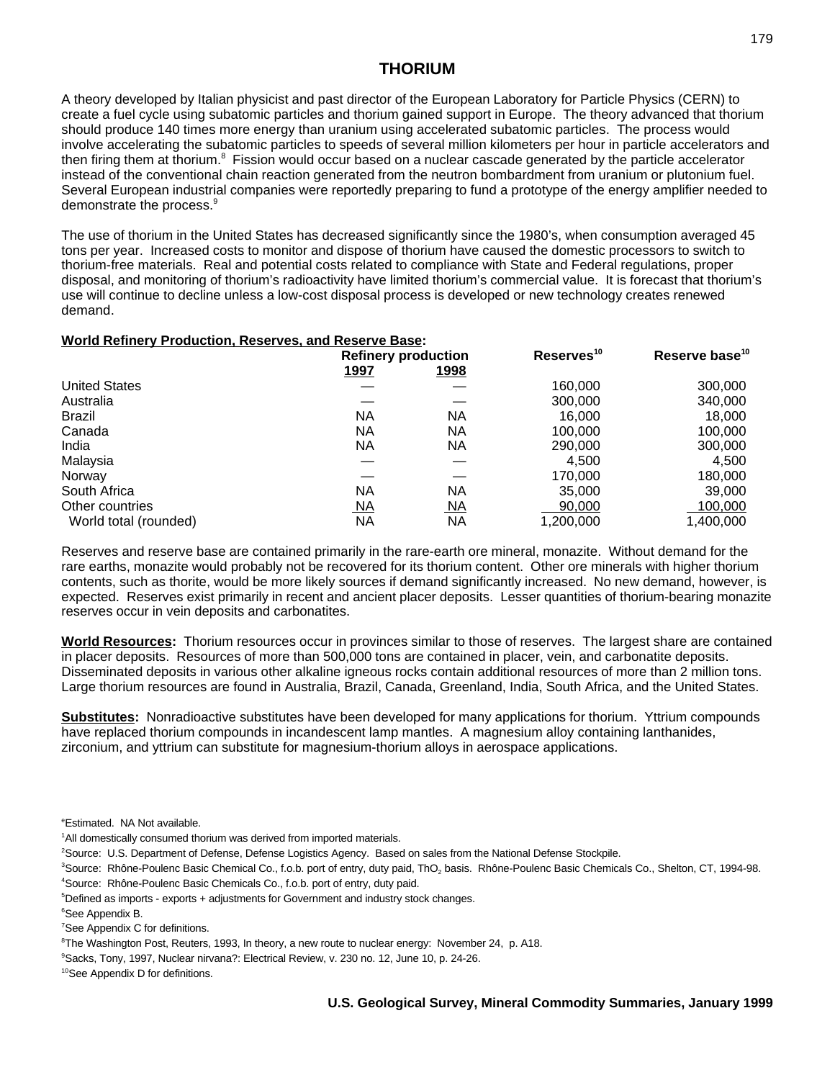A theory developed by Italian physicist and past director of the European Laboratory for Particle Physics (CERN) to create a fuel cycle using subatomic particles and thorium gained support in Europe. The theory advanced that thorium should produce 140 times more energy than uranium using accelerated subatomic particles. The process would involve accelerating the subatomic particles to speeds of several million kilometers per hour in particle accelerators and then firing them at thorium.<sup>8</sup> Fission would occur based on a nuclear cascade generated by the particle accelerator instead of the conventional chain reaction generated from the neutron bombardment from uranium or plutonium fuel. Several European industrial companies were reportedly preparing to fund a prototype of the energy amplifier needed to demonstrate the process.<sup>9</sup>

The use of thorium in the United States has decreased significantly since the 1980's, when consumption averaged 45 tons per year. Increased costs to monitor and dispose of thorium have caused the domestic processors to switch to thorium-free materials. Real and potential costs related to compliance with State and Federal regulations, proper disposal, and monitoring of thorium's radioactivity have limited thorium's commercial value. It is forecast that thorium's use will continue to decline unless a low-cost disposal process is developed or new technology creates renewed demand.

## **World Refinery Production, Reserves, and Reserve Base:**

|                       | <b>Refinery production</b> |             | Reserves <sup>10</sup> | Reserve base <sup>10</sup> |  |
|-----------------------|----------------------------|-------------|------------------------|----------------------------|--|
|                       | <u> 1997</u>               | <u>1998</u> |                        |                            |  |
| <b>United States</b>  |                            |             | 160,000                | 300,000                    |  |
| Australia             |                            |             | 300,000                | 340,000                    |  |
| Brazil                | NA                         | ΝA          | 16,000                 | 18,000                     |  |
| Canada                | <b>NA</b>                  | ΝA          | 100,000                | 100,000                    |  |
| India                 | <b>NA</b>                  | ΝA          | 290,000                | 300,000                    |  |
| Malaysia              |                            |             | 4,500                  | 4.500                      |  |
| Norway                |                            |             | 170,000                | 180,000                    |  |
| South Africa          | <b>NA</b>                  | NA          | 35,000                 | 39,000                     |  |
| Other countries       | <u>NA</u>                  | <u>NA</u>   | 90,000                 | 100,000                    |  |
| World total (rounded) | <b>NA</b>                  | <b>NA</b>   | 1,200,000              | 1.400.000                  |  |

Reserves and reserve base are contained primarily in the rare-earth ore mineral, monazite. Without demand for the rare earths, monazite would probably not be recovered for its thorium content. Other ore minerals with higher thorium contents, such as thorite, would be more likely sources if demand significantly increased. No new demand, however, is expected. Reserves exist primarily in recent and ancient placer deposits. Lesser quantities of thorium-bearing monazite reserves occur in vein deposits and carbonatites.

**World Resources:** Thorium resources occur in provinces similar to those of reserves. The largest share are contained in placer deposits. Resources of more than 500,000 tons are contained in placer, vein, and carbonatite deposits. Disseminated deposits in various other alkaline igneous rocks contain additional resources of more than 2 million tons. Large thorium resources are found in Australia, Brazil, Canada, Greenland, India, South Africa, and the United States.

**Substitutes:** Nonradioactive substitutes have been developed for many applications for thorium. Yttrium compounds have replaced thorium compounds in incandescent lamp mantles. A magnesium alloy containing lanthanides, zirconium, and yttrium can substitute for magnesium-thorium alloys in aerospace applications.

<sup>e</sup>Estimated. NA Not available.

- <sup>1</sup>All domestically consumed thorium was derived from imported materials.
- <sup>2</sup>Source: U.S. Department of Defense, Defense Logistics Agency. Based on sales from the National Defense Stockpile.
- $^3$ Source: Rhône-Poulenc Basic Chemical Co., f.o.b. port of entry, duty paid, ThO<sub>2</sub> basis. Rhône-Poulenc Basic Chemicals Co., Shelton, CT, 1994-98.
- <sup>4</sup>Source: Rhône-Poulenc Basic Chemicals Co., f.o.b. port of entry, duty paid.
- $5$ Defined as imports exports + adjustments for Government and industry stock changes.

<sup>6</sup>See Appendix B.

<sup>7</sup>See Appendix C for definitions.

<sup>10</sup>See Appendix D for definitions.

 $8$ The Washington Post, Reuters, 1993, In theory, a new route to nuclear energy: November 24, p. A18.

<sup>&</sup>lt;sup>9</sup> Sacks, Tony, 1997, Nuclear nirvana?: Electrical Review, v. 230 no. 12, June 10, p. 24-26.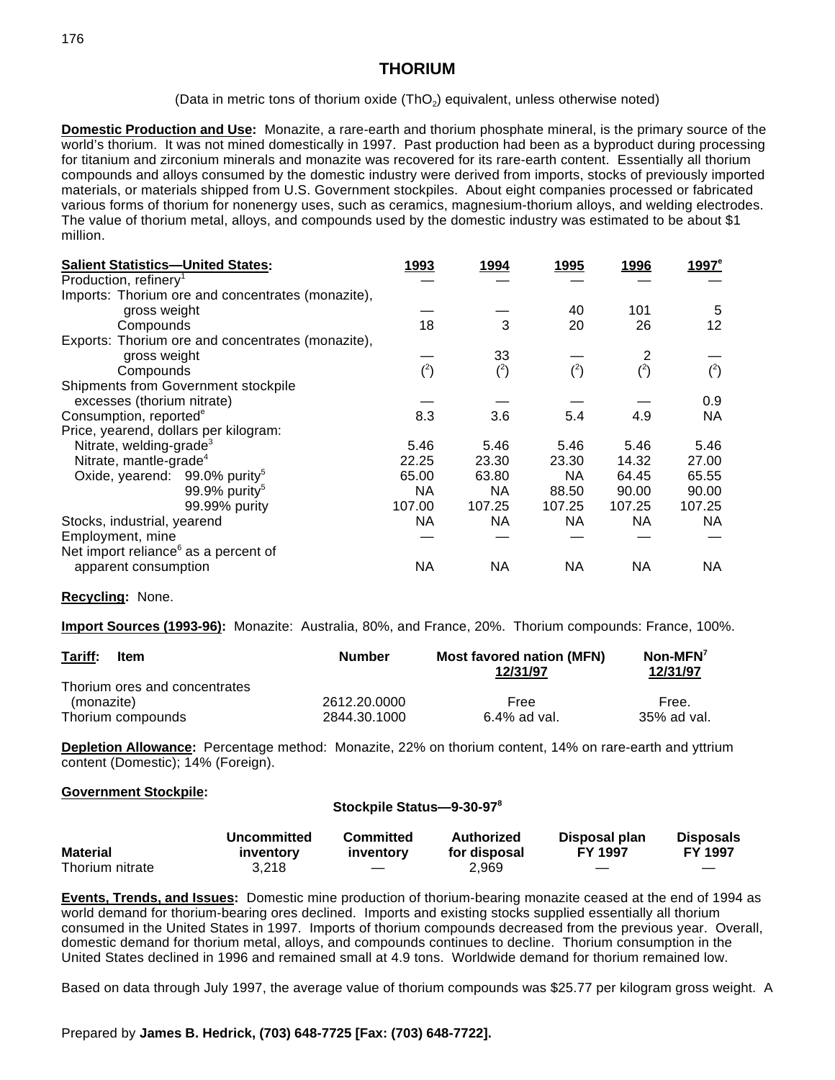(Data in metric tons of thorium oxide  $(ThO<sub>2</sub>)$  equivalent, unless otherwise noted)

**Domestic Production and Use:** Monazite, a rare-earth and thorium phosphate mineral, is the primary source of the world's thorium. It was not mined domestically in 1997. Past production had been as a byproduct during processing for titanium and zirconium minerals and monazite was recovered for its rare-earth content. Essentially all thorium compounds and alloys consumed by the domestic industry were derived from imports, stocks of previously imported materials, or materials shipped from U.S. Government stockpiles. About eight companies processed or fabricated various forms of thorium for nonenergy uses, such as ceramics, magnesium-thorium alloys, and welding electrodes. The value of thorium metal, alloys, and compounds used by the domestic industry was estimated to be about \$1 million.

| <b>Salient Statistics-United States:</b>          | 1993     | 1994      | 1995   | 1996      | $1997^e$ |
|---------------------------------------------------|----------|-----------|--------|-----------|----------|
| Production, refinery <sup>1</sup>                 |          |           |        |           |          |
| Imports: Thorium ore and concentrates (monazite), |          |           |        |           |          |
| gross weight                                      |          |           | 40     | 101       | 5        |
| Compounds                                         | 18       | 3         | 20     | 26        | 12       |
| Exports: Thorium ore and concentrates (monazite), |          |           |        |           |          |
| gross weight                                      |          | 33        |        |           |          |
| Compounds                                         | $(^{2})$ | $(^{2})$  | (2)    | $(^{2})$  | $(^{2})$ |
| Shipments from Government stockpile               |          |           |        |           |          |
| excesses (thorium nitrate)                        |          |           |        |           | 0.9      |
| Consumption, reported <sup>e</sup>                | 8.3      | 3.6       | 5.4    | 4.9       | NA       |
| Price, yearend, dollars per kilogram:             |          |           |        |           |          |
| Nitrate, welding-grade <sup>3</sup>               | 5.46     | 5.46      | 5.46   | 5.46      | 5.46     |
| Nitrate, mantle-grade <sup>4</sup>                | 22.25    | 23.30     | 23.30  | 14.32     | 27.00    |
| Oxide, yearend: 99.0% purity <sup>5</sup>         | 65.00    | 63.80     | NA     | 64.45     | 65.55    |
| 99.9% purity <sup>5</sup>                         | NА       | <b>NA</b> | 88.50  | 90.00     | 90.00    |
| 99.99% purity                                     | 107.00   | 107.25    | 107.25 | 107.25    | 107.25   |
| Stocks, industrial, yearend                       | NA.      | NA        | NA.    | NA.       | NA.      |
| Employment, mine                                  |          |           |        |           |          |
| Net import reliance <sup>6</sup> as a percent of  |          |           |        |           |          |
| apparent consumption                              | ΝA       | <b>NA</b> | ΝA     | <b>NA</b> | ΝA       |

### **Recycling:** None.

**Import Sources (1993-96):** Monazite: Australia, 80%, and France, 20%. Thorium compounds: France, 100%.

| Tariff:<br>Item               | <b>Number</b> | <b>Most favored nation (MFN)</b><br>12/31/97 | $\textsf{Non-MFN}^7$<br>12/31/97 |  |
|-------------------------------|---------------|----------------------------------------------|----------------------------------|--|
| Thorium ores and concentrates |               |                                              |                                  |  |
| (monazite)                    | 2612.20.0000  | Free                                         | Free.                            |  |
| Thorium compounds             | 2844.30.1000  | 6.4% ad val.                                 | 35% ad val.                      |  |

**Depletion Allowance:** Percentage method: Monazite, 22% on thorium content, 14% on rare-earth and yttrium content (Domestic); 14% (Foreign).

#### **Government Stockpile:**

#### **Stockpile Status—9-30-97<sup>8</sup>**

|                 | Uncommitted | Committed                | Authorized   | Disposal plan  | <b>Disposals</b> |
|-----------------|-------------|--------------------------|--------------|----------------|------------------|
| <b>Material</b> | inventory   | inventory                | for disposal | <b>FY 1997</b> | <b>FY 1997</b>   |
| Thorium nitrate | 3.218       | $\overline{\phantom{a}}$ | 2.969        |                |                  |

**Events, Trends, and Issues:** Domestic mine production of thorium-bearing monazite ceased at the end of 1994 as world demand for thorium-bearing ores declined. Imports and existing stocks supplied essentially all thorium consumed in the United States in 1997. Imports of thorium compounds decreased from the previous year. Overall, domestic demand for thorium metal, alloys, and compounds continues to decline. Thorium consumption in the United States declined in 1996 and remained small at 4.9 tons. Worldwide demand for thorium remained low.

Based on data through July 1997, the average value of thorium compounds was \$25.77 per kilogram gross weight. A

#### Prepared by **James B. Hedrick, (703) 648-7725 [Fax: (703) 648-7722].**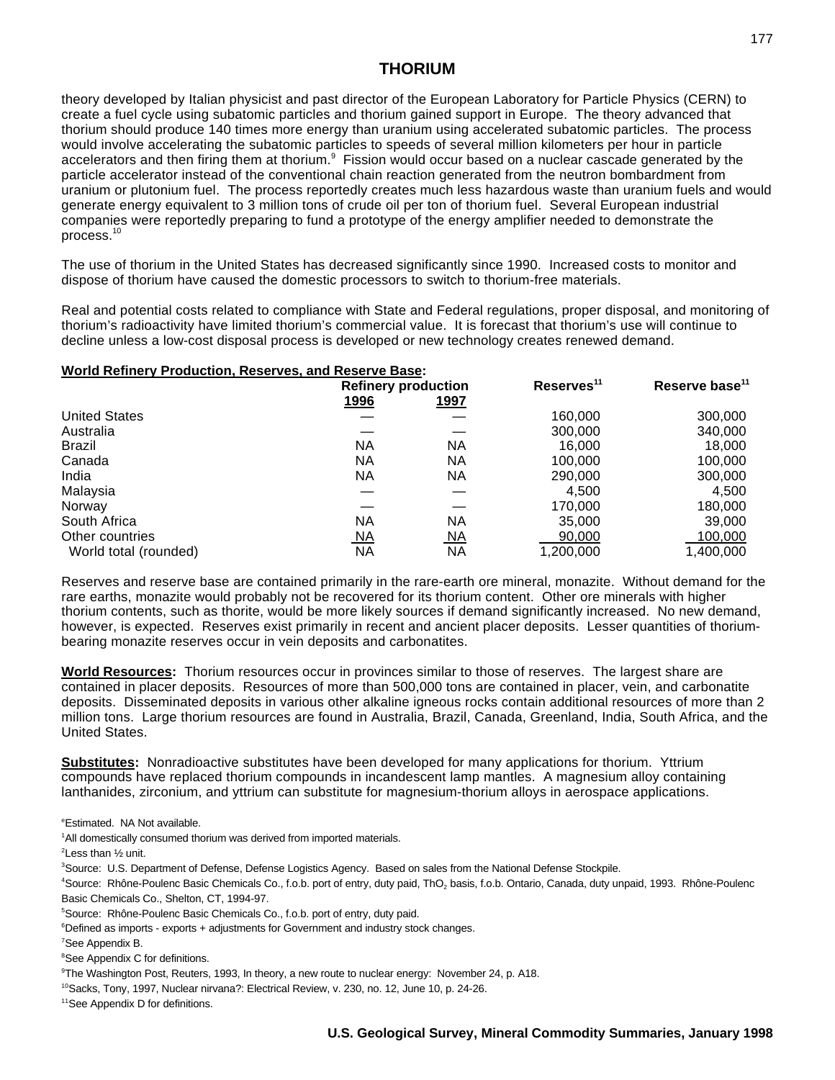theory developed by Italian physicist and past director of the European Laboratory for Particle Physics (CERN) to create a fuel cycle using subatomic particles and thorium gained support in Europe. The theory advanced that thorium should produce 140 times more energy than uranium using accelerated subatomic particles. The process would involve accelerating the subatomic particles to speeds of several million kilometers per hour in particle accelerators and then firing them at thorium.<sup>9</sup> Fission would occur based on a nuclear cascade generated by the particle accelerator instead of the conventional chain reaction generated from the neutron bombardment from uranium or plutonium fuel. The process reportedly creates much less hazardous waste than uranium fuels and would generate energy equivalent to 3 million tons of crude oil per ton of thorium fuel. Several European industrial companies were reportedly preparing to fund a prototype of the energy amplifier needed to demonstrate the process.<sup>10</sup>

The use of thorium in the United States has decreased significantly since 1990. Increased costs to monitor and dispose of thorium have caused the domestic processors to switch to thorium-free materials.

Real and potential costs related to compliance with State and Federal regulations, proper disposal, and monitoring of thorium's radioactivity have limited thorium's commercial value. It is forecast that thorium's use will continue to decline unless a low-cost disposal process is developed or new technology creates renewed demand.

### **World Refinery Production, Reserves, and Reserve Base:**

|                       | <b>Refinery production</b> |             | Reserves <sup>11</sup> | Reserve base <sup>11</sup> |  |
|-----------------------|----------------------------|-------------|------------------------|----------------------------|--|
|                       | <u>1996</u>                | <u>1997</u> |                        |                            |  |
| <b>United States</b>  |                            |             | 160,000                | 300,000                    |  |
| Australia             |                            |             | 300,000                | 340,000                    |  |
| Brazil                | <b>NA</b>                  | NA          | 16.000                 | 18,000                     |  |
| Canada                | ΝA                         | NA          | 100,000                | 100,000                    |  |
| India                 | ΝA                         | NA          | 290,000                | 300,000                    |  |
| Malaysia              |                            |             | 4,500                  | 4,500                      |  |
| Norway                |                            |             | 170,000                | 180,000                    |  |
| South Africa          | ΝA                         | NA          | 35,000                 | 39,000                     |  |
| Other countries       | <u>NA</u>                  | <u>NA</u>   | 90,000                 | 100,000                    |  |
| World total (rounded) | ΝA                         | <b>NA</b>   | 1,200,000              | 1,400,000                  |  |

Reserves and reserve base are contained primarily in the rare-earth ore mineral, monazite. Without demand for the rare earths, monazite would probably not be recovered for its thorium content. Other ore minerals with higher thorium contents, such as thorite, would be more likely sources if demand significantly increased. No new demand, however, is expected. Reserves exist primarily in recent and ancient placer deposits. Lesser quantities of thoriumbearing monazite reserves occur in vein deposits and carbonatites.

**World Resources:** Thorium resources occur in provinces similar to those of reserves. The largest share are contained in placer deposits. Resources of more than 500,000 tons are contained in placer, vein, and carbonatite deposits. Disseminated deposits in various other alkaline igneous rocks contain additional resources of more than 2 million tons. Large thorium resources are found in Australia, Brazil, Canada, Greenland, India, South Africa, and the United States.

**Substitutes:** Nonradioactive substitutes have been developed for many applications for thorium. Yttrium compounds have replaced thorium compounds in incandescent lamp mantles. A magnesium alloy containing lanthanides, zirconium, and yttrium can substitute for magnesium-thorium alloys in aerospace applications.

<sup>e</sup>Estimated. NA Not available.

<sup>1</sup>All domestically consumed thorium was derived from imported materials.

 $2$ Less than  $\frac{1}{2}$  unit.

<sup>3</sup>Source: U.S. Department of Defense, Defense Logistics Agency. Based on sales from the National Defense Stockpile.

 $^4$ Source: Rhône-Poulenc Basic Chemicals Co., f.o.b. port of entry, duty paid, ThO<sub>2</sub> basis, f.o.b. Ontario, Canada, duty unpaid, 1993. Rhône-Poulenc Basic Chemicals Co., Shelton, CT, 1994-97.

<sup>5</sup> Source: Rhône-Poulenc Basic Chemicals Co., f.o.b. port of entry, duty paid.

 $6$ Defined as imports - exports + adjustments for Government and industry stock changes.

<sup>7</sup>See Appendix B.

<sup>8</sup>See Appendix C for definitions.

<sup>9</sup>The Washington Post, Reuters, 1993, In theory, a new route to nuclear energy: November 24, p. A18.

<sup>10</sup> Sacks, Tony, 1997, Nuclear nirvana?: Electrical Review, v. 230, no. 12, June 10, p. 24-26.

 $11$ See Appendix D for definitions.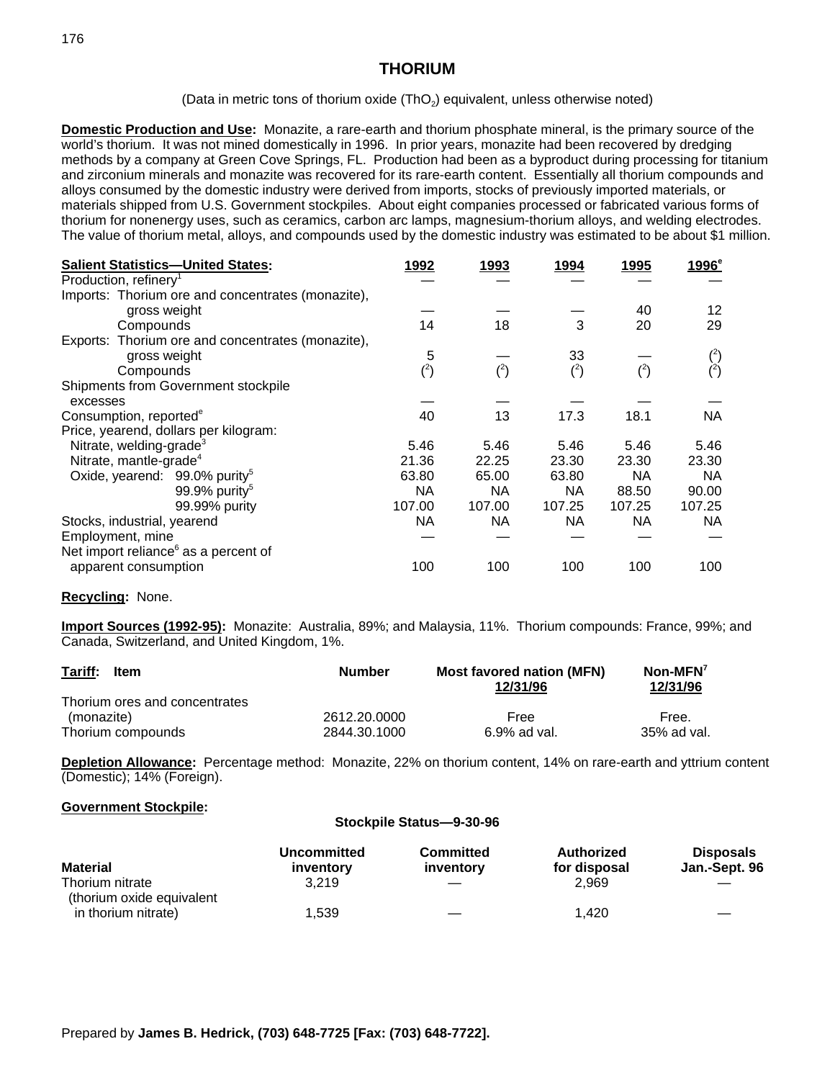(Data in metric tons of thorium oxide  $(ThO<sub>2</sub>)$  equivalent, unless otherwise noted)

**Domestic Production and Use:** Monazite, a rare-earth and thorium phosphate mineral, is the primary source of the world's thorium. It was not mined domestically in 1996. In prior years, monazite had been recovered by dredging methods by a company at Green Cove Springs, FL. Production had been as a byproduct during processing for titanium and zirconium minerals and monazite was recovered for its rare-earth content. Essentially all thorium compounds and alloys consumed by the domestic industry were derived from imports, stocks of previously imported materials, or materials shipped from U.S. Government stockpiles. About eight companies processed or fabricated various forms of thorium for nonenergy uses, such as ceramics, carbon arc lamps, magnesium-thorium alloys, and welding electrodes. The value of thorium metal, alloys, and compounds used by the domestic industry was estimated to be about \$1 million.

| <b>Salient Statistics-United States:</b>          | 1992     | 1993     | 1994      | 1995      | 1996 <sup>e</sup> |
|---------------------------------------------------|----------|----------|-----------|-----------|-------------------|
| Production, refinery <sup>1</sup>                 |          |          |           |           |                   |
| Imports: Thorium ore and concentrates (monazite), |          |          |           |           |                   |
| gross weight                                      |          |          |           | 40        | 12                |
| Compounds                                         | 14       | 18       | 3         | 20        | 29                |
| Exports: Thorium ore and concentrates (monazite), |          |          |           |           |                   |
| gross weight                                      | 5        |          | 33        |           |                   |
| Compounds                                         | $(^{2})$ | $(^{2})$ | $(^{2})$  |           | $\binom{2}{ }$    |
| Shipments from Government stockpile               |          |          |           |           |                   |
| excesses                                          |          |          |           |           |                   |
| Consumption, reported <sup>e</sup>                | 40       | 13       | 17.3      | 18.1      | <b>NA</b>         |
| Price, yearend, dollars per kilogram:             |          |          |           |           |                   |
| Nitrate, welding-grade <sup>3</sup>               | 5.46     | 5.46     | 5.46      | 5.46      | 5.46              |
| Nitrate, mantle-grade <sup>4</sup>                | 21.36    | 22.25    | 23.30     | 23.30     | 23.30             |
| Oxide, yearend: 99.0% purity <sup>5</sup>         | 63.80    | 65.00    | 63.80     | <b>NA</b> | <b>NA</b>         |
| 99.9% purity <sup>5</sup>                         | NA.      | NA       | <b>NA</b> | 88.50     | 90.00             |
| 99.99% purity                                     | 107.00   | 107.00   | 107.25    | 107.25    | 107.25            |
| Stocks, industrial, yearend                       | NA.      | NA.      | <b>NA</b> | <b>NA</b> | NA.               |
| Employment, mine                                  |          |          |           |           |                   |
| Net import reliance <sup>6</sup> as a percent of  |          |          |           |           |                   |
| apparent consumption                              | 100      | 100      | 100       | 100       | 100               |

#### **Recycling:** None.

**Import Sources (1992-95):** Monazite: Australia, 89%; and Malaysia, 11%. Thorium compounds: France, 99%; and Canada, Switzerland, and United Kingdom, 1%.

| Tariff:<br>Item               | <b>Number</b> | <b>Most favored nation (MFN)</b><br>12/31/96 | $\mathsf{Non-MFN}'$<br>12/31/96 |  |
|-------------------------------|---------------|----------------------------------------------|---------------------------------|--|
| Thorium ores and concentrates |               |                                              |                                 |  |
| (monazite)                    | 2612.20.0000  | Free                                         | Free.                           |  |
| Thorium compounds             | 2844.30.1000  | 6.9% ad val.                                 | 35% ad val.                     |  |

**Depletion Allowance:** Percentage method: Monazite, 22% on thorium content, 14% on rare-earth and yttrium content (Domestic); 14% (Foreign).

### **Government Stockpile:**

| Stockpile Status-9-30-96                     |                                 |                               |                            |                                   |
|----------------------------------------------|---------------------------------|-------------------------------|----------------------------|-----------------------------------|
| <b>Material</b>                              | <b>Uncommitted</b><br>inventory | <b>Committed</b><br>inventory | Authorized<br>for disposal | <b>Disposals</b><br>Jan.-Sept. 96 |
| Thorium nitrate<br>(thorium oxide equivalent | 3.219                           |                               | 2.969                      |                                   |
| in thorium nitrate)                          | 1.539                           |                               | 1.420                      |                                   |